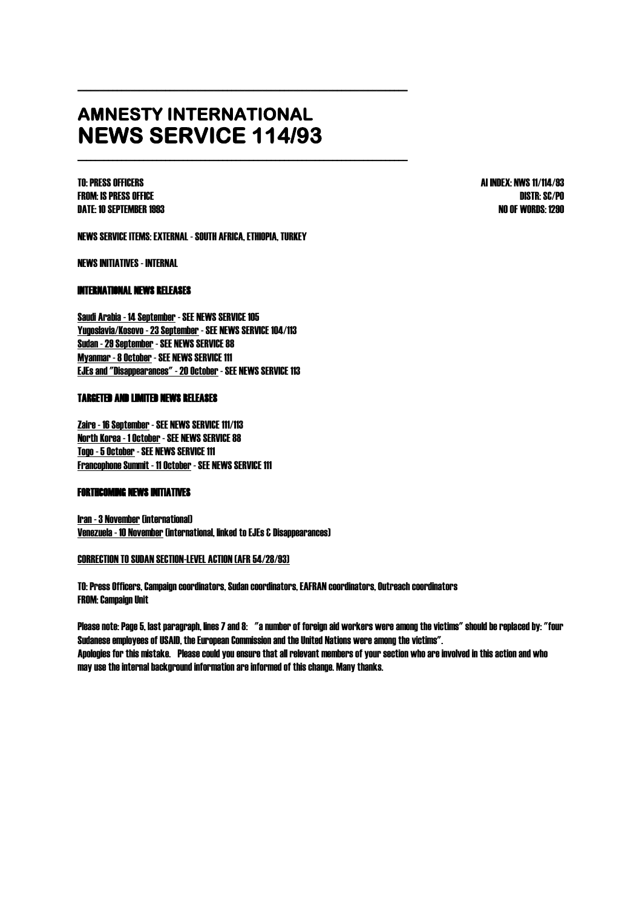# **AMNESTY INTERNATIONAL NEWS SERVICE 114/93**

\_\_\_\_\_\_\_\_\_\_\_\_\_\_\_\_\_\_\_\_\_\_\_\_\_\_\_\_\_\_\_\_\_\_\_\_\_\_\_\_\_\_\_\_\_\_\_\_\_\_\_\_\_\_\_\_\_\_\_\_\_\_\_\_\_\_\_\_\_\_\_\_\_\_\_

\_\_\_\_\_\_\_\_\_\_\_\_\_\_\_\_\_\_\_\_\_\_\_\_\_\_\_\_\_\_\_\_\_\_\_\_\_\_\_\_\_\_\_\_\_\_\_\_\_\_\_\_\_\_\_\_\_\_\_\_\_\_\_\_\_\_\_\_\_\_\_\_\_\_\_

FROM: IS PRESS OFFICE DISTR: SC/PO DATE: 10 SEPTEMBER 1993 NO OF WORDS: 1290

TO: PRESS OFFICERS AI INDEX: NWS 11/114/93

NEWS SERVICE ITEMS: EXTERNAL -SOUTH AFRICA, ETHIOPIA, TURKEY

NEWS INITIATIVES - INTERNAL

## INTERNATIONAL NEWS RELEASES

Saudi Arabia - 14 September - SEE NEWS SERVICE 105 Yugoslavia/Kosovo -23 September -SEE NEWS SERVICE 104/113 Sudan -29 September -SEE NEWS SERVICE 88 Myanmar -8 October -SEE NEWS SERVICE 111 EJEs and "Disappearances" -20 October -SEE NEWS SERVICE 113

## TARGETED AND LIMITED NEWS RELEASES

Zaire - 16 September - SEE NEWS SERVICE 111/113 North Korea - 1 October -SEE NEWS SERVICE 88 Togo -5 October -SEE NEWS SERVICE 111 Francophone Summit - 11 October -SEE NEWS SERVICE 111

### FORTHCOMING NEWS INITIATIVES

Iran -3 November (international) Venezuela - 10 November (international, linked to EJEs & Disappearances)

#### CORRECTION TO SUDAN SECTION-LEVEL ACTION (AFR 54/28/93)

TO: Press Officers, Campaign coordinators, Sudan coordinators, EAFRAN coordinators, Outreach coordinators FROM: Campaign Unit

Please note: Page 5, last paragraph, lines 7 and 8: "a number of foreign aid workers were among the victims" should be replaced by: "four Sudanese employees of USAID, the European Commission and the United Nations were among the victims". Apologies for this mistake. Please could you ensure that all relevant members of your section who are involved in this action and who may use the internal background information are informed of this change. Many thanks.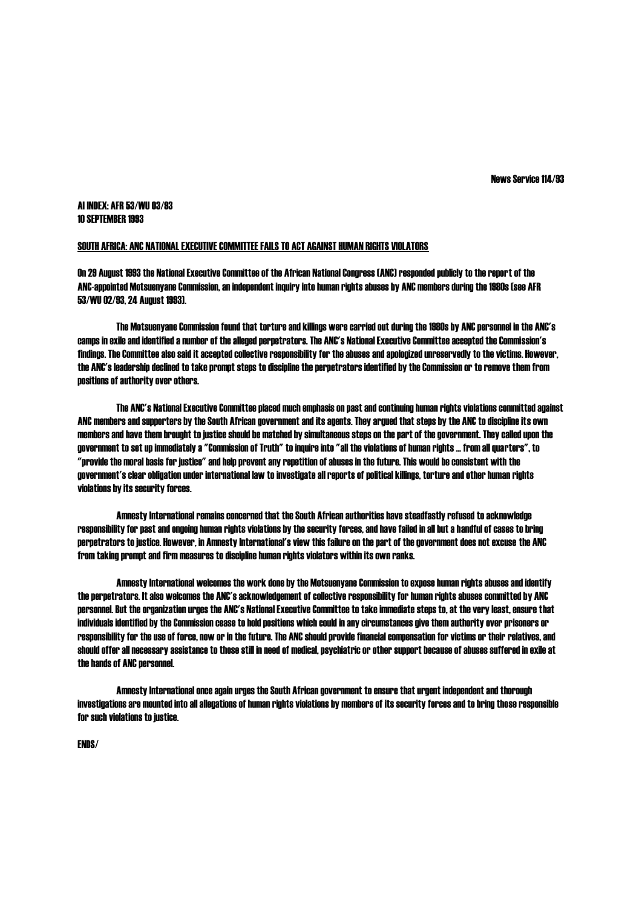News Service 114/93

#### AI INDEX: AFR 53/WU 03/93 10 SEPTEMBER 1993

#### SOUTH AFRICA: ANC NATIONAL EXECUTIVE COMMITTEE FAILS TO ACT AGAINST HUMAN RIGHTS VIOLATORS

On 29 August 1993 the National Executive Committee of the African National Congress (ANC) responded publicly to the report of the ANC-appointed Motsuenyane Commission, an independent inquiry into human rights abuses by ANC members during the 1980s (see AFR 53/WU 02/93, 24 August 1993).

The Motsuenyane Commission found that torture and killings were carried out during the 1980s by ANC personnel in the ANC's camps in exile and identified a number of the alleged perpetrators. The ANC's National Executive Committee accepted the Commission's findings. The Committee also said it accepted collective responsibility for the abuses and apologized unreservedly to the victims. However, the ANC's leadership declined to take prompt steps to discipline the perpetrators identified by the Commission or to remove them from positions of authority over others.

The ANC's National Executive Committee placed much emphasis on past and continuing human rights violations committed against ANC members and supporters by the South African government and its agents. They argued that steps by the ANC to discipline its own members and have them brought to justice should be matched by simultaneous steps on the part of the government. They called upon the government to set up immediately a "Commission of Truth" to inquire into "all the violations of human rights ... from all quarters", to "provide the moralbasis for justice" and help prevent any repetition of abuses in the future. This would be consistent with the government's clear obligation under international law to investigate all reports of political killings, torture and other human rights violations by its security forces.

Amnesty International remains concerned that the South African authorities have steadfastly refused to acknowledge responsibility for past and ongoing human rights violations by the security forces, and have failed in all but a handful of cases to bring perpetrators to justice. However, in Amnesty International's view this failure on the part of the government does not excuse the ANC from taking prompt and firm measures to discipline human rights violators within its own ranks.

Amnesty International welcomes the work done by the Motsuenyane Commission to expose human rights abuses and identify the perpetrators. It also welcomes the ANC's acknowledgement of collective responsibility for human rights abuses committed by ANC personnel. But the organization urges the ANC's National Executive Committee to take immediate steps to, at the very least, ensure that individuals identified by the Commission cease to hold positions which could in any circumstances give them authority over prisoners or responsibility for the use of force, now or in the future. The ANC should provide financial compensation for victims or their relatives, and should offer all necessary assistance to those still in need of medical, psychiatric or other support because of abuses suffered in exile at the hands of ANC personnel.

Amnesty International once again urges the South African government to ensure that urgent independent and thorough investigations are mounted into all allegations of human rights violations by members of its security forces and to bring those responsible for such violations to justice.

ENDS/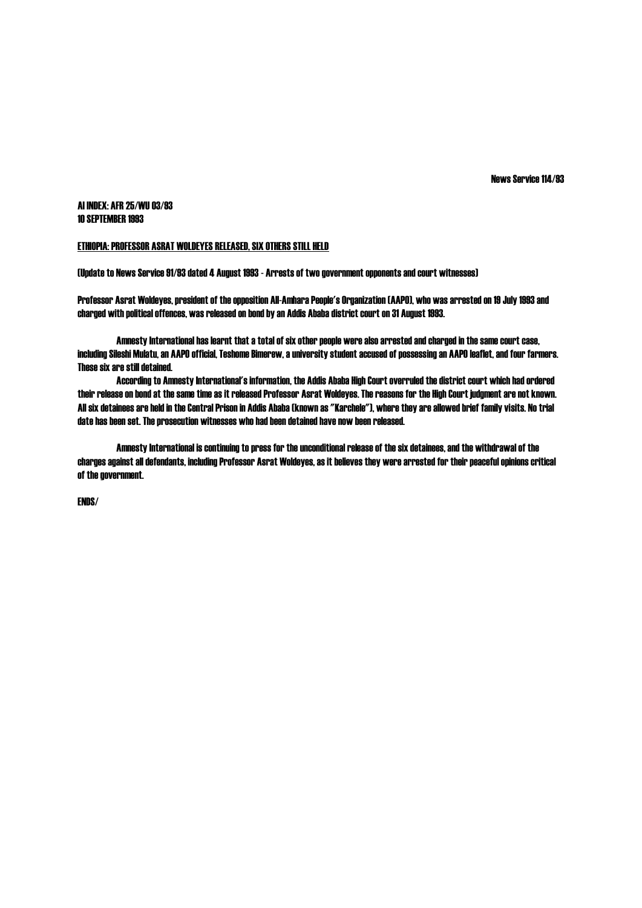News Service 114/93

AI INDEX: AFR 25/WU 03/93 10 SEPTEMBER 1993

#### ETHIOPIA: PROFESSOR ASRAT WOLDEYES RELEASED, SIX OTHERS STILL HELD

(Update to News Service 91/93 dated 4 August 1993 - Arrests of two government opponents and court witnesses)

Professor Asrat Woldeyes, president of the opposition All-Amhara People's Organization (AAPO), who was arrested on 19 July 1993 and charged with political offences, was released on bond by an Addis Ababa district court on 31 August 1993.

Amnesty International has learnt that a total of six other people were also arrested and charged in the same court case, including Sileshi Mulatu, an AAPO official, Teshome Bimerew, a university student accused of possessing an AAPO leaflet, and four farmers. These six are still detained.

According to Amnesty International's information, the Addis Ababa High Court overruled the district court which had ordered their release on bond at the same time as it released Professor Asrat Woldeyes. The reasons for the High Court judgment are not known. All six detainees are held in the Central Prison in Addis Ababa (known as "Karchele"), where they are allowed brief family visits. No trial date has been set. The prosecution witnesses who had been detained have now been released.

Amnesty International is continuing to press for the unconditional release of the six detainees, and the withdrawal of the charges against all defendants, including Professor Asrat Woldeyes, as it believes they were arrested for their peaceful opinions critical of the government.

ENDS/